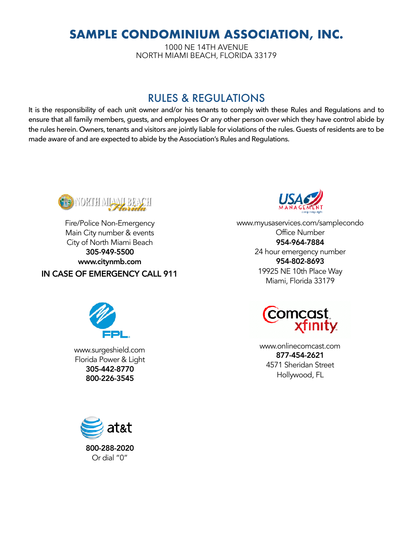# **SAMPLE CONDOMINIUM ASSOCIATION, INC.**

1000 NE 14TH AVENUE NORTH MIAMI BEACH, FLORIDA 33179

# RULES & REGULATIONS

It is the responsibility of each unit owner and/or his tenants to comply with these Rules and Regulations and to ensure that all family members, guests, and employees Or any other person over which they have control abide by the rules herein. Owners, tenants and visitors are jointly liable for violations of the rules. Guests of residents are to be made aware of and are expected to abide by the Association's Rules and Regulations.



Fire/Police Non-Emergency Main City number & events City of North Miami Beach 305-949-5500 www.citynmb.com IN CASE OF EMERGENCY CALL 911



www.myusaservices.com/samplecondo Office Number 954-964-7884 24 hour emergency number 954-802-8693 19925 NE 10th Place Way Miami, Florida 33179



www.surgeshield.com Florida Power & Light 305-442-8770 800-226-3545



www.onlinecomcast.com 877-454-2621 4571 Sheridan Street Hollywood, FL

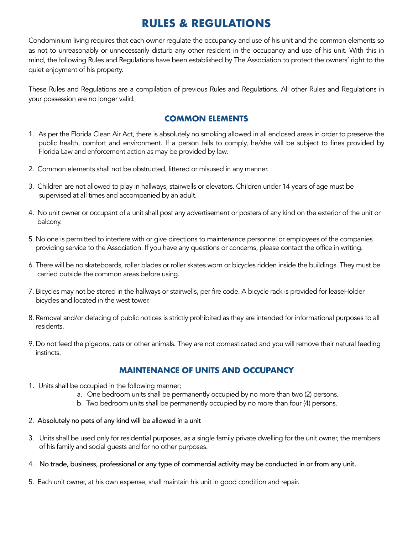# **RULES & REGULATIONS**

Condominium living requires that each owner regulate the occupancy and use of his unit and the common elements so as not to unreasonably or unnecessarily disturb any other resident in the occupancy and use of his unit. With this in mind, the following Rules and Regulations have been established by The Association to protect the owners' right to the quiet enjoyment of his property.

These Rules and Regulations are a compilation of previous Rules and Regulations. All other Rules and Regulations in your possession are no longer valid.

# **COMMON ELEMENTS**

- 1. As per the Florida Clean Air Act, there is absolutely no smoking allowed in all enclosed areas in order to preserve the public health, comfort and environment. If a person fails to comply, he/she will be subject to fines provided by Florida Law and enforcement action as may be provided by law.
- 2. Common elements shall not be obstructed, littered or misused in any manner.
- 3. Children are not allowed to play in hallways, stairwells or elevators. Children under 14 years of age must be supervised at all times and accompanied by an adult.
- 4. No unit owner or occupant of a unit shall post any advertisement or posters of any kind on the exterior of the unit or balcony.
- 5. No one is permitted to interfere with or give directions to maintenance personnel or employees of the companies providing service to the Association. If you have any questions or concerns, please contact the office in writing.
- 6. There will be no skateboards, roller blades or roller skates worn or bicycles ridden inside the buildings. They must be carried outside the common areas before using.
- 7. Bicycles may not be stored in the hallways or stairwells, per fire code. A bicycle rack is provided for leaseHolder bicycles and located in the west tower.
- 8. Removal and/or defacing of public notices is strictly prohibited as they are intended for informational purposes to all residents.
- 9. Do not feed the pigeons, cats or other animals. They are not domesticated and you will remove their natural feeding instincts.

# **MAINTENANCE OF UNITS AND OCCUPANCY**

- 1. Units shall be occupied in the following manner;
	- a. One bedroom units shall be permanently occupied by no more than two (2) persons.
	- b. Two bedroom units shall be permanently occupied by no more than four (4) persons.
- 2. Absolutely no pets of any kind will be allowed in a unit
- 3. Units shall be used only for residential purposes, as a single family private dwelling for the unit owner, the members of his family and social guests and for no other purposes.
- 4. No trade, business, professional or any type of commercial activity may be conducted in or from any unit.
- 5. Each unit owner, at his own expense, shall maintain his unit in good condition and repair.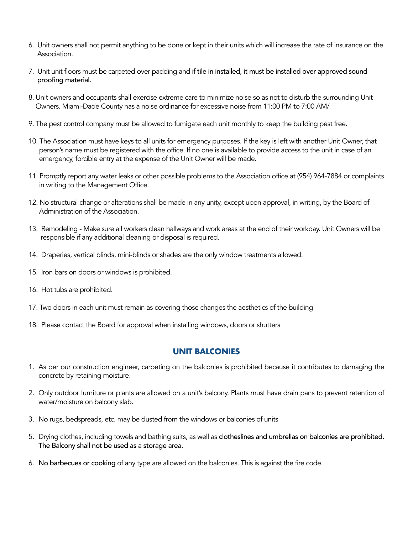- 6. Unit owners shall not permit anything to be done or kept in their units which will increase the rate of insurance on the Association.
- 7. Unit unit floors must be carpeted over padding and if tile in installed, it must be installed over approved sound proofing material.
- 8. Unit owners and occupants shall exercise extreme care to minimize noise so as not to disturb the surrounding Unit Owners. Miami-Dade County has a noise ordinance for excessive noise from 11:00 PM to 7:00 AM/
- 9. The pest control company must be allowed to fumigate each unit monthly to keep the building pest free.
- 10. The Association must have keys to all units for emergency purposes. If the key is left with another Unit Owner, that person's name must be registered with the office. If no one is available to provide access to the unit in case of an emergency, forcible entry at the expense of the Unit Owner will be made.
- 11. Promptly report any water leaks or other possible problems to the Association office at (954) 964-7884 or complaints in writing to the Management Office.
- 12. No structural change or alterations shall be made in any unity, except upon approval, in writing, by the Board of Administration of the Association.
- 13. Remodeling Make sure all workers clean hallways and work areas at the end of their workday. Unit Owners will be responsible if any additional cleaning or disposal is required.
- 14. Draperies, vertical blinds, mini-blinds or shades are the only window treatments allowed.
- 15. Iron bars on doors or windows is prohibited.
- 16. Hot tubs are prohibited.

17. Two doors in each unit must remain as covering those changes the aesthetics of the building

18. Please contact the Board for approval when installing windows, doors or shutters

### **UNIT BALCONIES**

- 1. As per our construction engineer, carpeting on the balconies is prohibited because it contributes to damaging the concrete by retaining moisture.
- 2. Only outdoor furniture or plants are allowed on a unit's balcony. Plants must have drain pans to prevent retention of water/moisture on balcony slab.
- 3. No rugs, bedspreads, etc. may be dusted from the windows or balconies of units
- 5. Drying clothes, including towels and bathing suits, as well as clotheslines and umbrellas on balconies are prohibited. The Balcony shall not be used as a storage area.
- 6. No barbecues or cooking of any type are allowed on the balconies. This is against the fire code.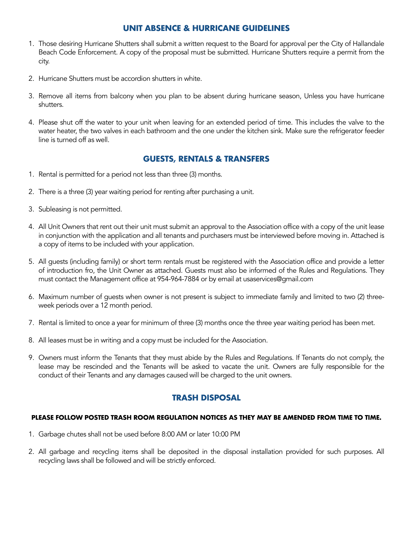# **UNIT ABSENCE & HURRICANE GUIDELINES**

- 1. Those desiring Hurricane Shutters shall submit a written request to the Board for approval per the City of Hallandale Beach Code Enforcement. A copy of the proposal must be submitted. Hurricane Shutters require a permit from the city.
- 2. Hurricane Shutters must be accordion shutters in white.
- 3. Remove all items from balcony when you plan to be absent during hurricane season, Unless you have hurricane shutters.
- 4. Please shut off the water to your unit when leaving for an extended period of time. This includes the valve to the water heater, the two valves in each bathroom and the one under the kitchen sink. Make sure the refrigerator feeder line is turned off as well.

#### **GUESTS, RENTALS & TRANSFERS**

- 1. Rental is permitted for a period not less than three (3) months.
- 2. There is a three (3) year waiting period for renting after purchasing a unit.
- 3. Subleasing is not permitted.
- 4. All Unit Owners that rent out their unit must submit an approval to the Association office with a copy of the unit lease in conjunction with the application and all tenants and purchasers must be interviewed before moving in. Attached is a copy of items to be included with your application.
- 5. All guests (including family) or short term rentals must be registered with the Association office and provide a letter of introduction fro, the Unit Owner as attached. Guests must also be informed of the Rules and Regulations. They must contact the Management office at 954-964-7884 or by email at usaservices@gmail.com
- 6. Maximum number of guests when owner is not present is subject to immediate family and limited to two (2) threeweek periods over a 12 month period.
- 7. Rental is limited to once a year for minimum of three (3) months once the three year waiting period has been met.
- 8. All leases must be in writing and a copy must be included for the Association.
- 9. Owners must inform the Tenants that they must abide by the Rules and Regulations. If Tenants do not comply, the lease may be rescinded and the Tenants will be asked to vacate the unit. Owners are fully responsible for the conduct of their Tenants and any damages caused will be charged to the unit owners.

### **TRASH DISPOSAL**

#### **PLEASE FOLLOW POSTED TRASH ROOM REGULATION NOTICES AS THEY MAY BE AMENDED FROM TIME TO TIME.**

- 1. Garbage chutes shall not be used before 8:00 AM or later 10:00 PM
- 2. All garbage and recycling items shall be deposited in the disposal installation provided for such purposes. All recycling laws shall be followed and will be strictly enforced.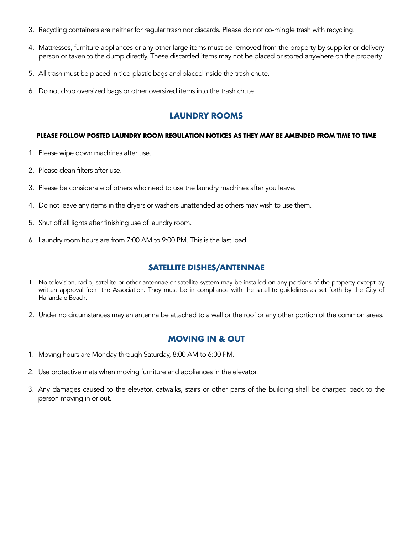- 3. Recycling containers are neither for regular trash nor discards. Please do not co-mingle trash with recycling.
- 4. Mattresses, furniture appliances or any other large items must be removed from the property by supplier or delivery person or taken to the dump directly. These discarded items may not be placed or stored anywhere on the property.
- 5. All trash must be placed in tied plastic bags and placed inside the trash chute.
- 6. Do not drop oversized bags or other oversized items into the trash chute.

### **LAUNDRY ROOMS**

#### **PLEASE FOLLOW POSTED LAUNDRY ROOM REGULATION NOTICES AS THEY MAY BE AMENDED FROM TIME TO TIME**

- 1. Please wipe down machines after use.
- 2. Please clean filters after use.
- 3. Please be considerate of others who need to use the laundry machines after you leave.
- 4. Do not leave any items in the dryers or washers unattended as others may wish to use them.
- 5. Shut off all lights after finishing use of laundry room.
- 6. Laundry room hours are from 7:00 AM to 9:00 PM. This is the last load.

# **SATELLITE DISHES/ANTENNAE**

- 1. No television, radio, satellite or other antennae or satellite system may be installed on any portions of the property except by written approval from the Association. They must be in compliance with the satellite guidelines as set forth by the City of Hallandale Beach.
- 2. Under no circumstances may an antenna be attached to a wall or the roof or any other portion of the common areas.

### **MOVING IN & OUT**

- 1. Moving hours are Monday through Saturday, 8:00 AM to 6:00 PM.
- 2. Use protective mats when moving furniture and appliances in the elevator.
- 3. Any damages caused to the elevator, catwalks, stairs or other parts of the building shall be charged back to the person moving in or out.